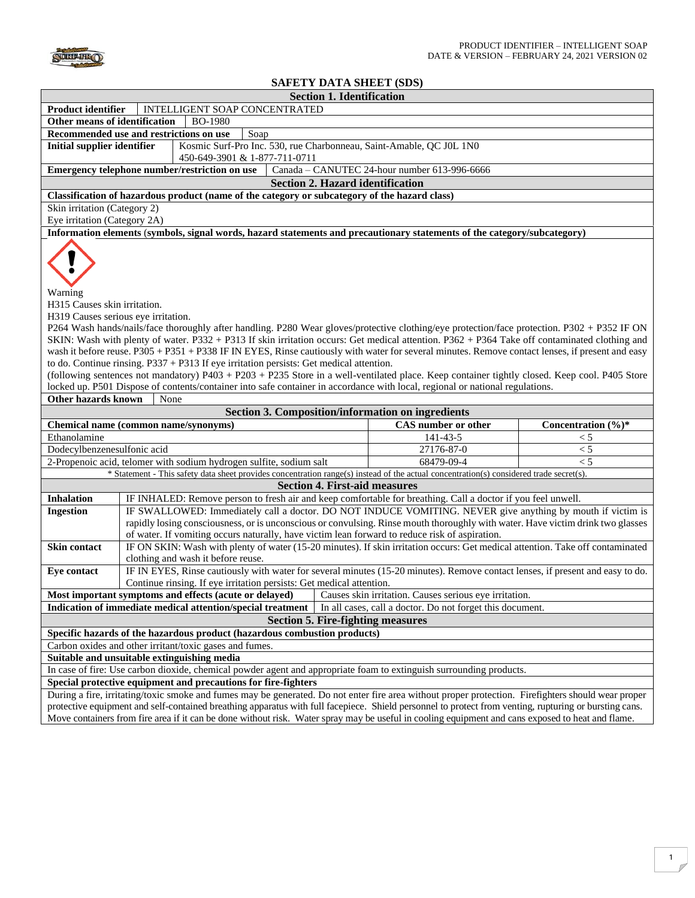

# **SAFETY DATA SHEET (SDS)**

|                                                                                                                                                                                                                                                                                                                                                                                                                                                                                                                                                                                                                                                                                                                                                                                                                                                                                                                                                   |                                                                                                                                                                                                                                                                                                                                                 | <b>Section 1. Identification</b>     |                                                          |                        |  |
|---------------------------------------------------------------------------------------------------------------------------------------------------------------------------------------------------------------------------------------------------------------------------------------------------------------------------------------------------------------------------------------------------------------------------------------------------------------------------------------------------------------------------------------------------------------------------------------------------------------------------------------------------------------------------------------------------------------------------------------------------------------------------------------------------------------------------------------------------------------------------------------------------------------------------------------------------|-------------------------------------------------------------------------------------------------------------------------------------------------------------------------------------------------------------------------------------------------------------------------------------------------------------------------------------------------|--------------------------------------|----------------------------------------------------------|------------------------|--|
| INTELLIGENT SOAP CONCENTRATED<br><b>Product identifier</b>                                                                                                                                                                                                                                                                                                                                                                                                                                                                                                                                                                                                                                                                                                                                                                                                                                                                                        |                                                                                                                                                                                                                                                                                                                                                 |                                      |                                                          |                        |  |
| Other means of identification                                                                                                                                                                                                                                                                                                                                                                                                                                                                                                                                                                                                                                                                                                                                                                                                                                                                                                                     | <b>BO-1980</b>                                                                                                                                                                                                                                                                                                                                  |                                      |                                                          |                        |  |
| Recommended use and restrictions on use<br>Soap                                                                                                                                                                                                                                                                                                                                                                                                                                                                                                                                                                                                                                                                                                                                                                                                                                                                                                   |                                                                                                                                                                                                                                                                                                                                                 |                                      |                                                          |                        |  |
| <b>Initial supplier identifier</b><br>Kosmic Surf-Pro Inc. 530, rue Charbonneau, Saint-Amable, QC J0L 1N0<br>450-649-3901 & 1-877-711-0711                                                                                                                                                                                                                                                                                                                                                                                                                                                                                                                                                                                                                                                                                                                                                                                                        |                                                                                                                                                                                                                                                                                                                                                 |                                      |                                                          |                        |  |
|                                                                                                                                                                                                                                                                                                                                                                                                                                                                                                                                                                                                                                                                                                                                                                                                                                                                                                                                                   | Emergency telephone number/restriction on use                                                                                                                                                                                                                                                                                                   |                                      | Canada - CANUTEC 24-hour number 613-996-6666             |                        |  |
|                                                                                                                                                                                                                                                                                                                                                                                                                                                                                                                                                                                                                                                                                                                                                                                                                                                                                                                                                   |                                                                                                                                                                                                                                                                                                                                                 |                                      | <b>Section 2. Hazard identification</b>                  |                        |  |
|                                                                                                                                                                                                                                                                                                                                                                                                                                                                                                                                                                                                                                                                                                                                                                                                                                                                                                                                                   | Classification of hazardous product (name of the category or subcategory of the hazard class)                                                                                                                                                                                                                                                   |                                      |                                                          |                        |  |
| Skin irritation (Category 2)                                                                                                                                                                                                                                                                                                                                                                                                                                                                                                                                                                                                                                                                                                                                                                                                                                                                                                                      |                                                                                                                                                                                                                                                                                                                                                 |                                      |                                                          |                        |  |
| Eye irritation (Category 2A)                                                                                                                                                                                                                                                                                                                                                                                                                                                                                                                                                                                                                                                                                                                                                                                                                                                                                                                      |                                                                                                                                                                                                                                                                                                                                                 |                                      |                                                          |                        |  |
|                                                                                                                                                                                                                                                                                                                                                                                                                                                                                                                                                                                                                                                                                                                                                                                                                                                                                                                                                   | Information elements (symbols, signal words, hazard statements and precautionary statements of the category/subcategory)                                                                                                                                                                                                                        |                                      |                                                          |                        |  |
| Warning<br>H315 Causes skin irritation.<br>H319 Causes serious eye irritation.<br>P264 Wash hands/nails/face thoroughly after handling. P280 Wear gloves/protective clothing/eye protection/face protection. P302 + P352 IF ON<br>SKIN: Wash with plenty of water. P332 + P313 If skin irritation occurs: Get medical attention. P362 + P364 Take off contaminated clothing and<br>wash it before reuse. P305 + P351 + P338 IF IN EYES, Rinse cautiously with water for several minutes. Remove contact lenses, if present and easy<br>to do. Continue rinsing. $P337 + P313$ If eye irritation persists: Get medical attention.<br>(following sentences not mandatory) P403 + P203 + P235 Store in a well-ventilated place. Keep container tightly closed. Keep cool. P405 Store<br>locked up. P501 Dispose of contents/container into safe container in accordance with local, regional or national regulations.<br>Other hazards known<br>None |                                                                                                                                                                                                                                                                                                                                                 |                                      |                                                          |                        |  |
|                                                                                                                                                                                                                                                                                                                                                                                                                                                                                                                                                                                                                                                                                                                                                                                                                                                                                                                                                   |                                                                                                                                                                                                                                                                                                                                                 |                                      | <b>Section 3. Composition/information on ingredients</b> |                        |  |
|                                                                                                                                                                                                                                                                                                                                                                                                                                                                                                                                                                                                                                                                                                                                                                                                                                                                                                                                                   | Chemical name (common name/synonyms)                                                                                                                                                                                                                                                                                                            |                                      | <b>CAS</b> number or other                               | Concentration $(\%)^*$ |  |
| Ethanolamine                                                                                                                                                                                                                                                                                                                                                                                                                                                                                                                                                                                                                                                                                                                                                                                                                                                                                                                                      |                                                                                                                                                                                                                                                                                                                                                 |                                      | 141-43-5                                                 | $\leq 5$               |  |
| Dodecylbenzenesulfonic acid                                                                                                                                                                                                                                                                                                                                                                                                                                                                                                                                                                                                                                                                                                                                                                                                                                                                                                                       |                                                                                                                                                                                                                                                                                                                                                 |                                      | 27176-87-0                                               | < 5                    |  |
|                                                                                                                                                                                                                                                                                                                                                                                                                                                                                                                                                                                                                                                                                                                                                                                                                                                                                                                                                   | 2-Propenoic acid, telomer with sodium hydrogen sulfite, sodium salt                                                                                                                                                                                                                                                                             |                                      | 68479-09-4                                               | < 5                    |  |
|                                                                                                                                                                                                                                                                                                                                                                                                                                                                                                                                                                                                                                                                                                                                                                                                                                                                                                                                                   | * Statement - This safety data sheet provides concentration range(s) instead of the actual concentration(s) considered trade secret(s).                                                                                                                                                                                                         |                                      |                                                          |                        |  |
|                                                                                                                                                                                                                                                                                                                                                                                                                                                                                                                                                                                                                                                                                                                                                                                                                                                                                                                                                   |                                                                                                                                                                                                                                                                                                                                                 | <b>Section 4. First-aid measures</b> |                                                          |                        |  |
| <b>Inhalation</b>                                                                                                                                                                                                                                                                                                                                                                                                                                                                                                                                                                                                                                                                                                                                                                                                                                                                                                                                 | IF INHALED: Remove person to fresh air and keep comfortable for breathing. Call a doctor if you feel unwell.                                                                                                                                                                                                                                    |                                      |                                                          |                        |  |
| <b>Ingestion</b>                                                                                                                                                                                                                                                                                                                                                                                                                                                                                                                                                                                                                                                                                                                                                                                                                                                                                                                                  | IF SWALLOWED: Immediately call a doctor. DO NOT INDUCE VOMITING. NEVER give anything by mouth if victim is<br>rapidly losing consciousness, or is unconscious or convulsing. Rinse mouth thoroughly with water. Have victim drink two glasses<br>of water. If vomiting occurs naturally, have victim lean forward to reduce risk of aspiration. |                                      |                                                          |                        |  |
| Skin contact                                                                                                                                                                                                                                                                                                                                                                                                                                                                                                                                                                                                                                                                                                                                                                                                                                                                                                                                      | IF ON SKIN: Wash with plenty of water (15-20 minutes). If skin irritation occurs: Get medical attention. Take off contaminated<br>clothing and wash it before reuse.                                                                                                                                                                            |                                      |                                                          |                        |  |
| Eye contact                                                                                                                                                                                                                                                                                                                                                                                                                                                                                                                                                                                                                                                                                                                                                                                                                                                                                                                                       | IF IN EYES, Rinse cautiously with water for several minutes (15-20 minutes). Remove contact lenses, if present and easy to do.                                                                                                                                                                                                                  |                                      |                                                          |                        |  |
|                                                                                                                                                                                                                                                                                                                                                                                                                                                                                                                                                                                                                                                                                                                                                                                                                                                                                                                                                   | Continue rinsing. If eye irritation persists: Get medical attention.                                                                                                                                                                                                                                                                            |                                      |                                                          |                        |  |
| Most important symptoms and effects (acute or delayed)   Causes skin irritation. Causes serious eye irritation.                                                                                                                                                                                                                                                                                                                                                                                                                                                                                                                                                                                                                                                                                                                                                                                                                                   |                                                                                                                                                                                                                                                                                                                                                 |                                      |                                                          |                        |  |
| Indication of immediate medical attention/special treatment   In all cases, call a doctor. Do not forget this document.                                                                                                                                                                                                                                                                                                                                                                                                                                                                                                                                                                                                                                                                                                                                                                                                                           |                                                                                                                                                                                                                                                                                                                                                 |                                      |                                                          |                        |  |
| Section 5. Fire-fighting measures                                                                                                                                                                                                                                                                                                                                                                                                                                                                                                                                                                                                                                                                                                                                                                                                                                                                                                                 |                                                                                                                                                                                                                                                                                                                                                 |                                      |                                                          |                        |  |
| Specific hazards of the hazardous product (hazardous combustion products)                                                                                                                                                                                                                                                                                                                                                                                                                                                                                                                                                                                                                                                                                                                                                                                                                                                                         |                                                                                                                                                                                                                                                                                                                                                 |                                      |                                                          |                        |  |
| Carbon oxides and other irritant/toxic gases and fumes.                                                                                                                                                                                                                                                                                                                                                                                                                                                                                                                                                                                                                                                                                                                                                                                                                                                                                           |                                                                                                                                                                                                                                                                                                                                                 |                                      |                                                          |                        |  |
| Suitable and unsuitable extinguishing media                                                                                                                                                                                                                                                                                                                                                                                                                                                                                                                                                                                                                                                                                                                                                                                                                                                                                                       |                                                                                                                                                                                                                                                                                                                                                 |                                      |                                                          |                        |  |
| In case of fire: Use carbon dioxide, chemical powder agent and appropriate foam to extinguish surrounding products.                                                                                                                                                                                                                                                                                                                                                                                                                                                                                                                                                                                                                                                                                                                                                                                                                               |                                                                                                                                                                                                                                                                                                                                                 |                                      |                                                          |                        |  |
|                                                                                                                                                                                                                                                                                                                                                                                                                                                                                                                                                                                                                                                                                                                                                                                                                                                                                                                                                   | Special protective equipment and precautions for fire-fighters                                                                                                                                                                                                                                                                                  |                                      |                                                          |                        |  |
| During a fire, irritating/toxic smoke and fumes may be generated. Do not enter fire area without proper protection. Firefighters should wear proper<br>protective equipment and self-contained breathing apparatus with full facepiece. Shield personnel to protect from venting, rupturing or bursting cans.                                                                                                                                                                                                                                                                                                                                                                                                                                                                                                                                                                                                                                     |                                                                                                                                                                                                                                                                                                                                                 |                                      |                                                          |                        |  |

Move containers from fire area if it can be done without risk. Water spray may be useful in cooling equipment and cans exposed to heat and flame.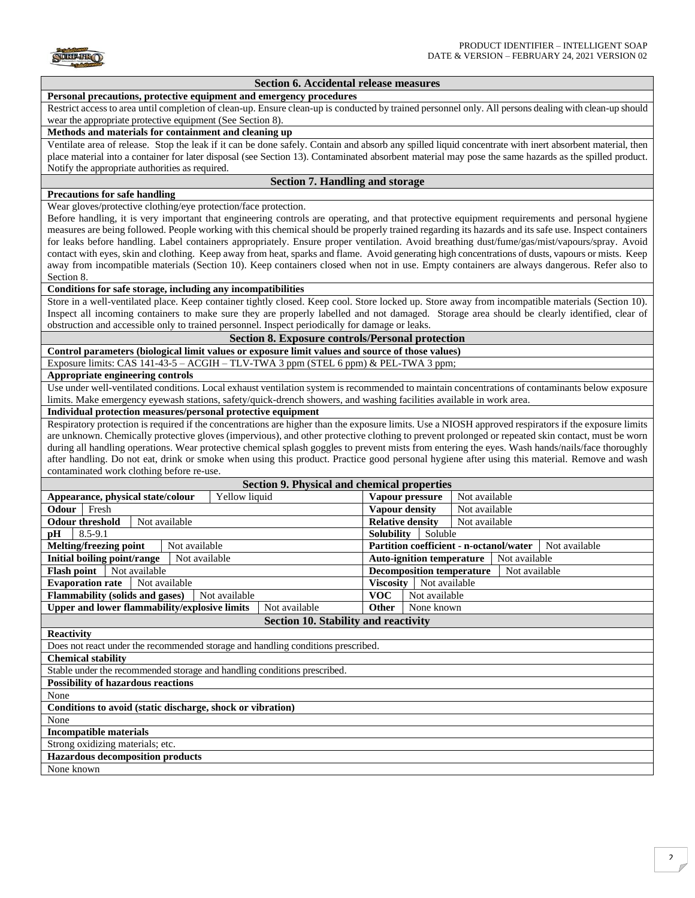

## **Section 6. Accidental release measures**

#### **Personal precautions, protective equipment and emergency procedures**

Restrict access to area until completion of clean-up. Ensure clean-up is conducted by trained personnel only. All persons dealing with clean-up should wear the appropriate protective equipment (See Section 8).

#### **Methods and materials for containment and cleaning up**

Ventilate area of release. Stop the leak if it can be done safely. Contain and absorb any spilled liquid concentrate with inert absorbent material, then place material into a container for later disposal (see Section 13). Contaminated absorbent material may pose the same hazards as the spilled product. Notify the appropriate authorities as required.

## **Section 7. Handling and storage**

## **Precautions for safe handling**

Wear gloves/protective clothing/eye protection/face protection.

Before handling, it is very important that engineering controls are operating, and that protective equipment requirements and personal hygiene measures are being followed. People working with this chemical should be properly trained regarding its hazards and its safe use. Inspect containers for leaks before handling. Label containers appropriately. Ensure proper ventilation. Avoid breathing dust/fume/gas/mist/vapours/spray. Avoid contact with eyes, skin and clothing. Keep away from heat, sparks and flame. Avoid generating high concentrations of dusts, vapours or mists. Keep away from incompatible materials (Section 10). Keep containers closed when not in use. Empty containers are always dangerous. Refer also to Section 8.

# **Conditions for safe storage, including any incompatibilities**

Store in a well-ventilated place. Keep container tightly closed. Keep cool. Store locked up. Store away from incompatible materials (Section 10). Inspect all incoming containers to make sure they are properly labelled and not damaged. Storage area should be clearly identified, clear of obstruction and accessible only to trained personnel. Inspect periodically for damage or leaks.

# **Section 8. Exposure controls/Personal protection**

**Control parameters (biological limit values or exposure limit values and source of those values)**  Exposure limits: CAS 141-43-5 – ACGIH – TLV-TWA 3 ppm (STEL 6 ppm) & PEL-TWA 3 ppm;

## **Appropriate engineering controls**

Use under well-ventilated conditions. Local exhaust ventilation system is recommended to maintain concentrations of contaminants below exposure limits. Make emergency eyewash stations, safety/quick-drench showers, and washing facilities available in work area.

# **Individual protection measures/personal protective equipment**

Respiratory protection is required if the concentrations are higher than the exposure limits. Use a NIOSH approved respirators if the exposure limits are unknown. Chemically protective gloves (impervious), and other protective clothing to prevent prolonged or repeated skin contact, must be worn during all handling operations. Wear protective chemical splash goggles to prevent mists from entering the eyes. Wash hands/nails/face thoroughly after handling. Do not eat, drink or smoke when using this product. Practice good personal hygiene after using this material. Remove and wash contaminated work clothing before re-use.

| <b>Section 9. Physical and chemical properties</b>                               |                                                          |  |  |  |
|----------------------------------------------------------------------------------|----------------------------------------------------------|--|--|--|
| Appearance, physical state/colour<br>Yellow liquid                               | Vapour pressure<br>Not available                         |  |  |  |
| Odour<br>Fresh                                                                   | Vapour density<br>Not available                          |  |  |  |
| <b>Odour threshold</b><br>Not available                                          | <b>Relative density</b><br>Not available                 |  |  |  |
| $8.5 - 9.1$<br>pH                                                                | <b>Solubility</b><br>Soluble                             |  |  |  |
| Melting/freezing point<br>Not available                                          | Partition coefficient - n-octanol/water<br>Not available |  |  |  |
| <b>Initial boiling point/range</b><br>Not available                              | <b>Auto-ignition temperature</b><br>Not available        |  |  |  |
| <b>Flash point</b><br>Not available                                              | <b>Decomposition temperature</b><br>Not available        |  |  |  |
| <b>Viscosity</b><br>Not available<br><b>Evaporation rate</b><br>Not available    |                                                          |  |  |  |
| Flammability (solids and gases)<br>Not available                                 | <b>VOC</b><br>Not available                              |  |  |  |
| <b>Upper and lower flammability/explosive limits</b><br>Not available            | None known<br><b>Other</b>                               |  |  |  |
| <b>Section 10. Stability and reactivity</b>                                      |                                                          |  |  |  |
| <b>Reactivity</b>                                                                |                                                          |  |  |  |
| Does not react under the recommended storage and handling conditions prescribed. |                                                          |  |  |  |
| <b>Chemical stability</b>                                                        |                                                          |  |  |  |
| Stable under the recommended storage and handling conditions prescribed.         |                                                          |  |  |  |
| <b>Possibility of hazardous reactions</b>                                        |                                                          |  |  |  |
| None                                                                             |                                                          |  |  |  |
| Conditions to avoid (static discharge, shock or vibration)                       |                                                          |  |  |  |
| None                                                                             |                                                          |  |  |  |
| <b>Incompatible materials</b>                                                    |                                                          |  |  |  |
| Strong oxidizing materials; etc.                                                 |                                                          |  |  |  |
| <b>Hazardous decomposition products</b>                                          |                                                          |  |  |  |
| None known                                                                       |                                                          |  |  |  |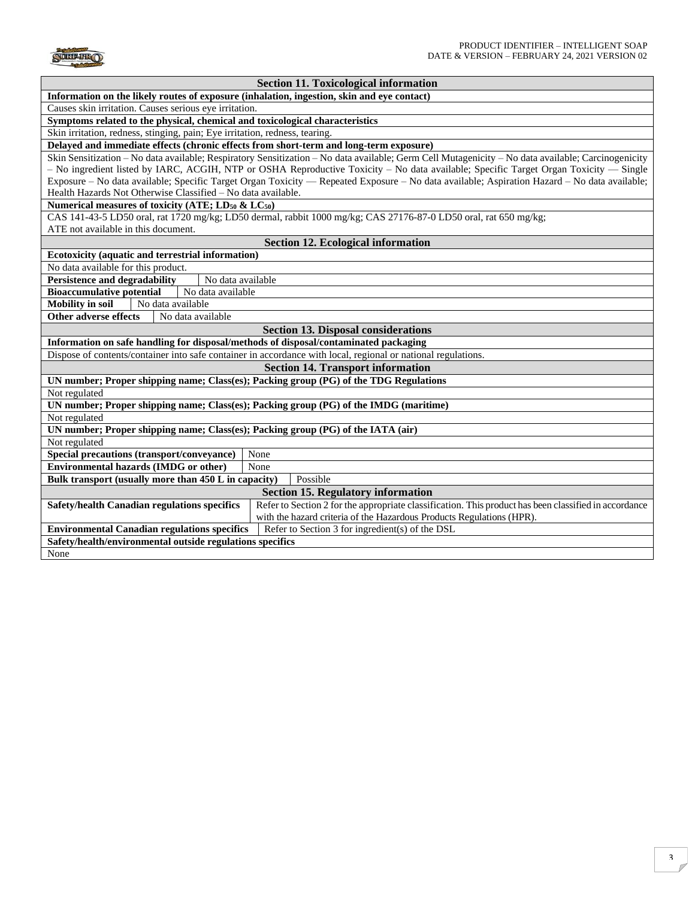

| <b>Section 11. Toxicological information</b>                                                                                                          |  |  |  |  |
|-------------------------------------------------------------------------------------------------------------------------------------------------------|--|--|--|--|
| Information on the likely routes of exposure (inhalation, ingestion, skin and eye contact)                                                            |  |  |  |  |
| Causes skin irritation. Causes serious eye irritation.                                                                                                |  |  |  |  |
| Symptoms related to the physical, chemical and toxicological characteristics                                                                          |  |  |  |  |
| Skin irritation, redness, stinging, pain; Eye irritation, redness, tearing.                                                                           |  |  |  |  |
| Delayed and immediate effects (chronic effects from short-term and long-term exposure)                                                                |  |  |  |  |
| Skin Sensitization – No data available; Respiratory Sensitization – No data available; Germ Cell Mutagenicity – No data available; Carcinogenicity    |  |  |  |  |
| - No ingredient listed by IARC, ACGIH, NTP or OSHA Reproductive Toxicity - No data available; Specific Target Organ Toxicity - Single                 |  |  |  |  |
| Exposure - No data available; Specific Target Organ Toxicity - Repeated Exposure - No data available; Aspiration Hazard - No data available;          |  |  |  |  |
| Health Hazards Not Otherwise Classified - No data available.                                                                                          |  |  |  |  |
| Numerical measures of toxicity (ATE; LD <sub>50</sub> & LC <sub>50</sub> )                                                                            |  |  |  |  |
| CAS 141-43-5 LD50 oral, rat 1720 mg/kg; LD50 dermal, rabbit 1000 mg/kg; CAS 27176-87-0 LD50 oral, rat 650 mg/kg;                                      |  |  |  |  |
| ATE not available in this document.                                                                                                                   |  |  |  |  |
| <b>Section 12. Ecological information</b>                                                                                                             |  |  |  |  |
| Ecotoxicity (aquatic and terrestrial information)                                                                                                     |  |  |  |  |
| No data available for this product.                                                                                                                   |  |  |  |  |
| <b>Persistence and degradability</b><br>No data available                                                                                             |  |  |  |  |
| <b>Bioaccumulative potential</b><br>No data available                                                                                                 |  |  |  |  |
| <b>Mobility in soil</b><br>No data available                                                                                                          |  |  |  |  |
| Other adverse effects<br>No data available                                                                                                            |  |  |  |  |
| <b>Section 13. Disposal considerations</b>                                                                                                            |  |  |  |  |
| Information on safe handling for disposal/methods of disposal/contaminated packaging                                                                  |  |  |  |  |
| Dispose of contents/container into safe container in accordance with local, regional or national regulations.                                         |  |  |  |  |
| <b>Section 14. Transport information</b>                                                                                                              |  |  |  |  |
| UN number; Proper shipping name; Class(es); Packing group (PG) of the TDG Regulations                                                                 |  |  |  |  |
| Not regulated                                                                                                                                         |  |  |  |  |
| UN number; Proper shipping name; Class(es); Packing group (PG) of the IMDG (maritime)                                                                 |  |  |  |  |
| Not regulated                                                                                                                                         |  |  |  |  |
| UN number; Proper shipping name; Class(es); Packing group (PG) of the IATA (air)                                                                      |  |  |  |  |
| Not regulated                                                                                                                                         |  |  |  |  |
| Special precautions (transport/conveyance)<br>None                                                                                                    |  |  |  |  |
| <b>Environmental hazards (IMDG or other)</b><br>None                                                                                                  |  |  |  |  |
| Bulk transport (usually more than 450 L in capacity)<br>Possible                                                                                      |  |  |  |  |
| <b>Section 15. Regulatory information</b>                                                                                                             |  |  |  |  |
| Refer to Section 2 for the appropriate classification. This product has been classified in accordance<br>Safety/health Canadian regulations specifics |  |  |  |  |
| with the hazard criteria of the Hazardous Products Regulations (HPR).                                                                                 |  |  |  |  |
| <b>Environmental Canadian regulations specifics</b><br>Refer to Section 3 for ingredient(s) of the DSL                                                |  |  |  |  |
| Safety/health/environmental outside regulations specifics                                                                                             |  |  |  |  |
| None                                                                                                                                                  |  |  |  |  |